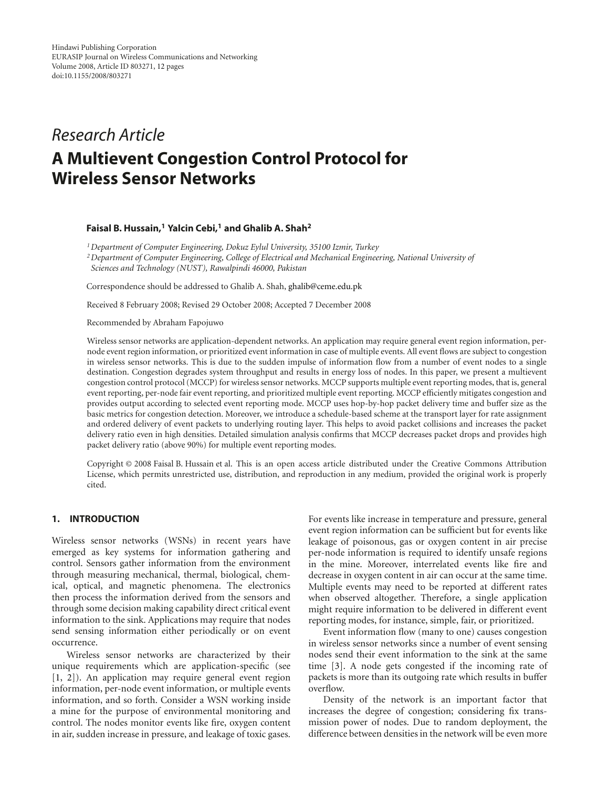# *Research Article*

# **A Multievent Congestion Control Protocol for Wireless Sensor Networks**

# **Faisal B. Hussain,1 Yalcin Cebi,1 and Ghalib A. Shah2**

*1Department of Computer Engineering, Dokuz Eylul University, 35100 Izmir, Turkey*

*2Department of Computer Engineering, College of Electrical and Mechanical Engineering, National University of Sciences and Technology (NUST), Rawalpindi 46000, Pakistan*

Correspondence should be addressed to Ghalib A. Shah, ghalib@ceme.edu.pk

Received 8 February 2008; Revised 29 October 2008; Accepted 7 December 2008

Recommended by Abraham Fapojuwo

Wireless sensor networks are application-dependent networks. An application may require general event region information, pernode event region information, or prioritized event information in case of multiple events. All event flows are subject to congestion in wireless sensor networks. This is due to the sudden impulse of information flow from a number of event nodes to a single destination. Congestion degrades system throughput and results in energy loss of nodes. In this paper, we present a multievent congestion control protocol (MCCP) for wireless sensor networks. MCCP supports multiple event reporting modes, that is, general event reporting, per-node fair event reporting, and prioritized multiple event reporting. MCCP efficiently mitigates congestion and provides output according to selected event reporting mode. MCCP uses hop-by-hop packet delivery time and buffer size as the basic metrics for congestion detection. Moreover, we introduce a schedule-based scheme at the transport layer for rate assignment and ordered delivery of event packets to underlying routing layer. This helps to avoid packet collisions and increases the packet delivery ratio even in high densities. Detailed simulation analysis confirms that MCCP decreases packet drops and provides high packet delivery ratio (above 90%) for multiple event reporting modes.

Copyright © 2008 Faisal B. Hussain et al. This is an open access article distributed under the Creative Commons Attribution License, which permits unrestricted use, distribution, and reproduction in any medium, provided the original work is properly cited.

## **1. INTRODUCTION**

Wireless sensor networks (WSNs) in recent years have emerged as key systems for information gathering and control. Sensors gather information from the environment through measuring mechanical, thermal, biological, chemical, optical, and magnetic phenomena. The electronics then process the information derived from the sensors and through some decision making capability direct critical event information to the sink. Applications may require that nodes send sensing information either periodically or on event occurrence.

Wireless sensor networks are characterized by their unique requirements which are application-specific (see [1, 2]). An application may require general event region information, per-node event information, or multiple events information, and so forth. Consider a WSN working inside a mine for the purpose of environmental monitoring and control. The nodes monitor events like fire, oxygen content in air, sudden increase in pressure, and leakage of toxic gases.

For events like increase in temperature and pressure, general event region information can be sufficient but for events like leakage of poisonous, gas or oxygen content in air precise per-node information is required to identify unsafe regions in the mine. Moreover, interrelated events like fire and decrease in oxygen content in air can occur at the same time. Multiple events may need to be reported at different rates when observed altogether. Therefore, a single application might require information to be delivered in different event reporting modes, for instance, simple, fair, or prioritized.

Event information flow (many to one) causes congestion in wireless sensor networks since a number of event sensing nodes send their event information to the sink at the same time [3]. A node gets congested if the incoming rate of packets is more than its outgoing rate which results in buffer overflow.

Density of the network is an important factor that increases the degree of congestion; considering fix transmission power of nodes. Due to random deployment, the difference between densities in the network will be even more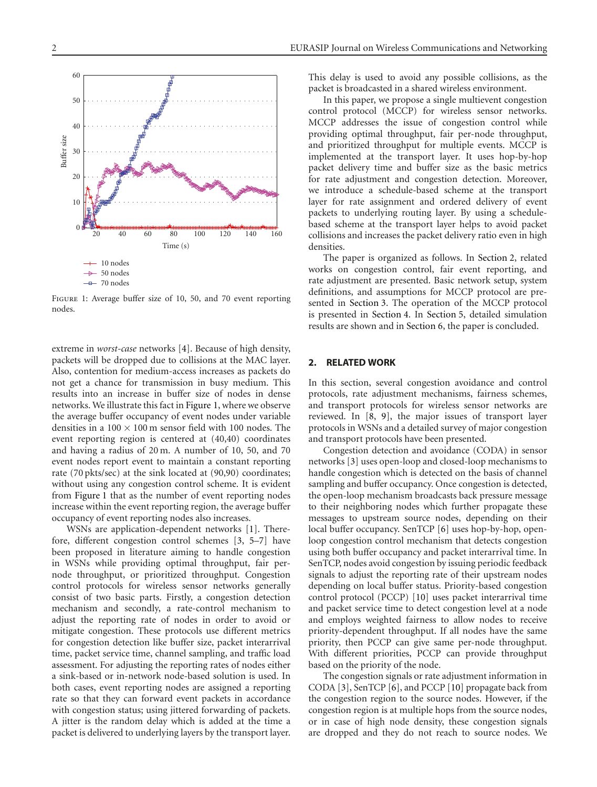

Figure 1: Average buffer size of 10, 50, and 70 event reporting nodes.

extreme in *worst-case* networks [4]. Because of high density, packets will be dropped due to collisions at the MAC layer. Also, contention for medium-access increases as packets do not get a chance for transmission in busy medium. This results into an increase in buffer size of nodes in dense networks. We illustrate this fact in Figure 1, where we observe the average buffer occupancy of event nodes under variable densities in a  $100 \times 100$  m sensor field with 100 nodes. The event reporting region is centered at (40,40) coordinates and having a radius of 20 m. A number of 10, 50, and 70 event nodes report event to maintain a constant reporting rate (70 pkts/sec) at the sink located at (90,90) coordinates; without using any congestion control scheme. It is evident from Figure 1 that as the number of event reporting nodes increase within the event reporting region, the average buffer occupancy of event reporting nodes also increases.

WSNs are application-dependent networks [1]. Therefore, different congestion control schemes [3, 5–7] have been proposed in literature aiming to handle congestion in WSNs while providing optimal throughput, fair pernode throughput, or prioritized throughput. Congestion control protocols for wireless sensor networks generally consist of two basic parts. Firstly, a congestion detection mechanism and secondly, a rate-control mechanism to adjust the reporting rate of nodes in order to avoid or mitigate congestion. These protocols use different metrics for congestion detection like buffer size, packet interarrival time, packet service time, channel sampling, and traffic load assessment. For adjusting the reporting rates of nodes either a sink-based or in-network node-based solution is used. In both cases, event reporting nodes are assigned a reporting rate so that they can forward event packets in accordance with congestion status; using jittered forwarding of packets. A jitter is the random delay which is added at the time a packet is delivered to underlying layers by the transport layer.

This delay is used to avoid any possible collisions, as the packet is broadcasted in a shared wireless environment.

In this paper, we propose a single multievent congestion control protocol (MCCP) for wireless sensor networks. MCCP addresses the issue of congestion control while providing optimal throughput, fair per-node throughput, and prioritized throughput for multiple events. MCCP is implemented at the transport layer. It uses hop-by-hop packet delivery time and buffer size as the basic metrics for rate adjustment and congestion detection. Moreover, we introduce a schedule-based scheme at the transport layer for rate assignment and ordered delivery of event packets to underlying routing layer. By using a schedulebased scheme at the transport layer helps to avoid packet collisions and increases the packet delivery ratio even in high densities.

The paper is organized as follows. In Section 2, related works on congestion control, fair event reporting, and rate adjustment are presented. Basic network setup, system definitions, and assumptions for MCCP protocol are presented in Section 3. The operation of the MCCP protocol is presented in Section 4. In Section 5, detailed simulation results are shown and in Section 6, the paper is concluded.

#### **2. RELATED WORK**

In this section, several congestion avoidance and control protocols, rate adjustment mechanisms, fairness schemes, and transport protocols for wireless sensor networks are reviewed. In [8, 9], the major issues of transport layer protocols in WSNs and a detailed survey of major congestion and transport protocols have been presented.

Congestion detection and avoidance (CODA) in sensor networks [3] uses open-loop and closed-loop mechanisms to handle congestion which is detected on the basis of channel sampling and buffer occupancy. Once congestion is detected, the open-loop mechanism broadcasts back pressure message to their neighboring nodes which further propagate these messages to upstream source nodes, depending on their local buffer occupancy. SenTCP [6] uses hop-by-hop, openloop congestion control mechanism that detects congestion using both buffer occupancy and packet interarrival time. In SenTCP, nodes avoid congestion by issuing periodic feedback signals to adjust the reporting rate of their upstream nodes depending on local buffer status. Priority-based congestion control protocol (PCCP) [10] uses packet interarrival time and packet service time to detect congestion level at a node and employs weighted fairness to allow nodes to receive priority-dependent throughput. If all nodes have the same priority, then PCCP can give same per-node throughput. With different priorities, PCCP can provide throughput based on the priority of the node.

The congestion signals or rate adjustment information in CODA [3], SenTCP [6], and PCCP [10] propagate back from the congestion region to the source nodes. However, if the congestion region is at multiple hops from the source nodes, or in case of high node density, these congestion signals are dropped and they do not reach to source nodes. We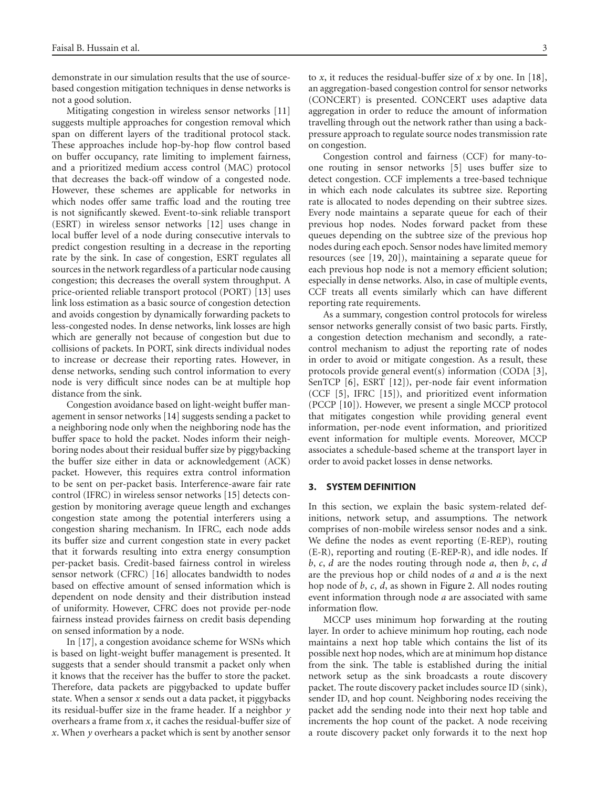demonstrate in our simulation results that the use of sourcebased congestion mitigation techniques in dense networks is not a good solution.

Mitigating congestion in wireless sensor networks [11] suggests multiple approaches for congestion removal which span on different layers of the traditional protocol stack. These approaches include hop-by-hop flow control based on buffer occupancy, rate limiting to implement fairness, and a prioritized medium access control (MAC) protocol that decreases the back-off window of a congested node. However, these schemes are applicable for networks in which nodes offer same traffic load and the routing tree is not significantly skewed. Event-to-sink reliable transport (ESRT) in wireless sensor networks [12] uses change in local buffer level of a node during consecutive intervals to predict congestion resulting in a decrease in the reporting rate by the sink. In case of congestion, ESRT regulates all sources in the network regardless of a particular node causing congestion; this decreases the overall system throughput. A price-oriented reliable transport protocol (PORT) [13] uses link loss estimation as a basic source of congestion detection and avoids congestion by dynamically forwarding packets to less-congested nodes. In dense networks, link losses are high which are generally not because of congestion but due to collisions of packets. In PORT, sink directs individual nodes to increase or decrease their reporting rates. However, in dense networks, sending such control information to every node is very difficult since nodes can be at multiple hop distance from the sink.

Congestion avoidance based on light-weight buffer management in sensor networks [14] suggests sending a packet to a neighboring node only when the neighboring node has the buffer space to hold the packet. Nodes inform their neighboring nodes about their residual buffer size by piggybacking the buffer size either in data or acknowledgement (ACK) packet. However, this requires extra control information to be sent on per-packet basis. Interference-aware fair rate control (IFRC) in wireless sensor networks [15] detects congestion by monitoring average queue length and exchanges congestion state among the potential interferers using a congestion sharing mechanism. In IFRC, each node adds its buffer size and current congestion state in every packet that it forwards resulting into extra energy consumption per-packet basis. Credit-based fairness control in wireless sensor network (CFRC) [16] allocates bandwidth to nodes based on effective amount of sensed information which is dependent on node density and their distribution instead of uniformity. However, CFRC does not provide per-node fairness instead provides fairness on credit basis depending on sensed information by a node.

In [17], a congestion avoidance scheme for WSNs which is based on light-weight buffer management is presented. It suggests that a sender should transmit a packet only when it knows that the receiver has the buffer to store the packet. Therefore, data packets are piggybacked to update buffer state. When a sensor *x* sends out a data packet, it piggybacks its residual-buffer size in the frame header. If a neighbor *y* overhears a frame from *x*, it caches the residual-buffer size of *x*. When *y* overhears a packet which is sent by another sensor

to *x*, it reduces the residual-buffer size of *x* by one. In [18], an aggregation-based congestion control for sensor networks (CONCERT) is presented. CONCERT uses adaptive data aggregation in order to reduce the amount of information travelling through out the network rather than using a backpressure approach to regulate source nodes transmission rate on congestion.

Congestion control and fairness (CCF) for many-toone routing in sensor networks [5] uses buffer size to detect congestion. CCF implements a tree-based technique in which each node calculates its subtree size. Reporting rate is allocated to nodes depending on their subtree sizes. Every node maintains a separate queue for each of their previous hop nodes. Nodes forward packet from these queues depending on the subtree size of the previous hop nodes during each epoch. Sensor nodes have limited memory resources (see [19, 20]), maintaining a separate queue for each previous hop node is not a memory efficient solution; especially in dense networks. Also, in case of multiple events, CCF treats all events similarly which can have different reporting rate requirements.

As a summary, congestion control protocols for wireless sensor networks generally consist of two basic parts. Firstly, a congestion detection mechanism and secondly, a ratecontrol mechanism to adjust the reporting rate of nodes in order to avoid or mitigate congestion. As a result, these protocols provide general event(s) information (CODA [3], SenTCP [6], ESRT [12]), per-node fair event information (CCF [5], IFRC [15]), and prioritized event information (PCCP [10]). However, we present a single MCCP protocol that mitigates congestion while providing general event information, per-node event information, and prioritized event information for multiple events. Moreover, MCCP associates a schedule-based scheme at the transport layer in order to avoid packet losses in dense networks.

#### **3. SYSTEM DEFINITION**

In this section, we explain the basic system-related definitions, network setup, and assumptions. The network comprises of non-mobile wireless sensor nodes and a sink. We define the nodes as event reporting (E-REP), routing (E-R), reporting and routing (E-REP-R), and idle nodes. If *b*, *c*, *d* are the nodes routing through node *a*, then *b*, *c*, *d* are the previous hop or child nodes of *a* and *a* is the next hop node of *b*, *c*, *d*, as shown in Figure 2. All nodes routing event information through node *a* are associated with same information flow.

MCCP uses minimum hop forwarding at the routing layer. In order to achieve minimum hop routing, each node maintains a next hop table which contains the list of its possible next hop nodes, which are at minimum hop distance from the sink. The table is established during the initial network setup as the sink broadcasts a route discovery packet. The route discovery packet includes source ID (sink), sender ID, and hop count. Neighboring nodes receiving the packet add the sending node into their next hop table and increments the hop count of the packet. A node receiving a route discovery packet only forwards it to the next hop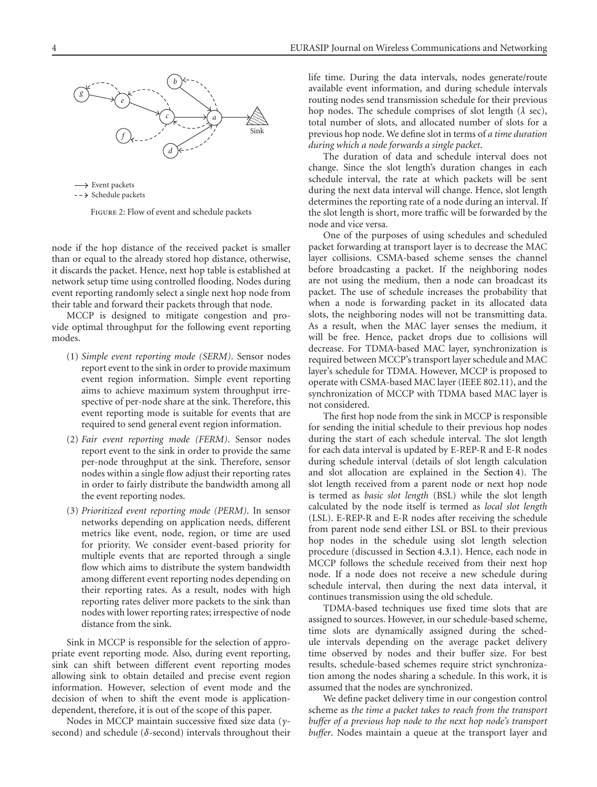

 $\longrightarrow$  Event packets

 $\leftarrow$  > Schedule packets

Figure 2: Flow of event and schedule packets

node if the hop distance of the received packet is smaller than or equal to the already stored hop distance, otherwise, it discards the packet. Hence, next hop table is established at network setup time using controlled flooding. Nodes during event reporting randomly select a single next hop node from their table and forward their packets through that node.

MCCP is designed to mitigate congestion and provide optimal throughput for the following event reporting modes.

- (1) *Simple event reporting mode (SERM)*. Sensor nodes report event to the sink in order to provide maximum event region information. Simple event reporting aims to achieve maximum system throughput irrespective of per-node share at the sink. Therefore, this event reporting mode is suitable for events that are required to send general event region information.
- (2) *Fair event reporting mode (FERM)*. Sensor nodes report event to the sink in order to provide the same per-node throughput at the sink. Therefore, sensor nodes within a single flow adjust their reporting rates in order to fairly distribute the bandwidth among all the event reporting nodes.
- (3) *Prioritized event reporting mode (PERM)*. In sensor networks depending on application needs, different metrics like event, node, region, or time are used for priority. We consider event-based priority for multiple events that are reported through a single flow which aims to distribute the system bandwidth among different event reporting nodes depending on their reporting rates. As a result, nodes with high reporting rates deliver more packets to the sink than nodes with lower reporting rates; irrespective of node distance from the sink.

Sink in MCCP is responsible for the selection of appropriate event reporting mode. Also, during event reporting, sink can shift between different event reporting modes allowing sink to obtain detailed and precise event region information. However, selection of event mode and the decision of when to shift the event mode is applicationdependent, therefore, it is out of the scope of this paper.

Nodes in MCCP maintain successive fixed size data (*γ*second) and schedule (*δ*-second) intervals throughout their life time. During the data intervals, nodes generate/route available event information, and during schedule intervals routing nodes send transmission schedule for their previous hop nodes. The schedule comprises of slot length (*λ* sec), total number of slots, and allocated number of slots for a previous hop node. We define slot in terms of *a time duration during which a node forwards a single packet*.

The duration of data and schedule interval does not change. Since the slot length's duration changes in each schedule interval, the rate at which packets will be sent during the next data interval will change. Hence, slot length determines the reporting rate of a node during an interval. If the slot length is short, more traffic will be forwarded by the node and vice versa.

One of the purposes of using schedules and scheduled packet forwarding at transport layer is to decrease the MAC layer collisions. CSMA-based scheme senses the channel before broadcasting a packet. If the neighboring nodes are not using the medium, then a node can broadcast its packet. The use of schedule increases the probability that when a node is forwarding packet in its allocated data slots, the neighboring nodes will not be transmitting data. As a result, when the MAC layer senses the medium, it will be free. Hence, packet drops due to collisions will decrease. For TDMA-based MAC layer, synchronization is required between MCCP's transport layer schedule and MAC layer's schedule for TDMA. However, MCCP is proposed to operate with CSMA-based MAC layer (IEEE 802.11), and the synchronization of MCCP with TDMA based MAC layer is not considered.

The first hop node from the sink in MCCP is responsible for sending the initial schedule to their previous hop nodes during the start of each schedule interval. The slot length for each data interval is updated by E-REP-R and E-R nodes during schedule interval (details of slot length calculation and slot allocation are explained in the Section 4). The slot length received from a parent node or next hop node is termed as *basic slot length* (BSL) while the slot length calculated by the node itself is termed as *local slot length* (LSL). E-REP-R and E-R nodes after receiving the schedule from parent node send either LSL or BSL to their previous hop nodes in the schedule using slot length selection procedure (discussed in Section 4.3.1). Hence, each node in MCCP follows the schedule received from their next hop node. If a node does not receive a new schedule during schedule interval, then during the next data interval, it continues transmission using the old schedule.

TDMA-based techniques use fixed time slots that are assigned to sources. However, in our schedule-based scheme, time slots are dynamically assigned during the schedule intervals depending on the average packet delivery time observed by nodes and their buffer size. For best results, schedule-based schemes require strict synchronization among the nodes sharing a schedule. In this work, it is assumed that the nodes are synchronized.

We define packet delivery time in our congestion control scheme as *the time a packet takes to reach from the transport buffer of a previous hop node to the next hop node's transport* buffer. Nodes maintain a queue at the transport layer and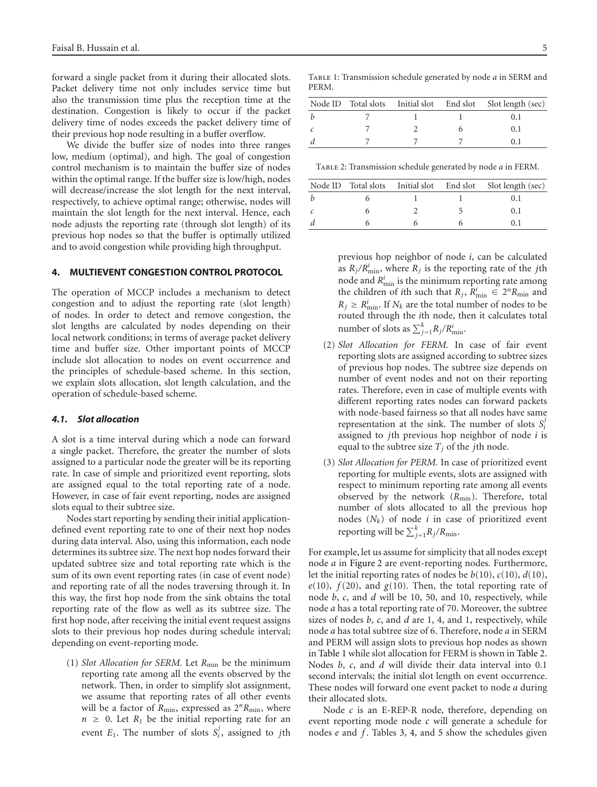forward a single packet from it during their allocated slots. Packet delivery time not only includes service time but also the transmission time plus the reception time at the destination. Congestion is likely to occur if the packet delivery time of nodes exceeds the packet delivery time of their previous hop node resulting in a buffer overflow.

We divide the buffer size of nodes into three ranges low, medium (optimal), and high. The goal of congestion control mechanism is to maintain the buffer size of nodes within the optimal range. If the buffer size is low/high, nodes will decrease/increase the slot length for the next interval, respectively, to achieve optimal range; otherwise, nodes will maintain the slot length for the next interval. Hence, each node adjusts the reporting rate (through slot length) of its previous hop nodes so that the buffer is optimally utilized and to avoid congestion while providing high throughput.

#### **4. MULTIEVENT CONGESTION CONTROL PROTOCOL**

The operation of MCCP includes a mechanism to detect congestion and to adjust the reporting rate (slot length) of nodes. In order to detect and remove congestion, the slot lengths are calculated by nodes depending on their local network conditions; in terms of average packet delivery time and buffer size. Other important points of MCCP include slot allocation to nodes on event occurrence and the principles of schedule-based scheme. In this section, we explain slots allocation, slot length calculation, and the operation of schedule-based scheme.

#### *4.1. Slot allocation*

A slot is a time interval during which a node can forward a single packet. Therefore, the greater the number of slots assigned to a particular node the greater will be its reporting rate. In case of simple and prioritized event reporting, slots are assigned equal to the total reporting rate of a node. However, in case of fair event reporting, nodes are assigned slots equal to their subtree size.

Nodes start reporting by sending their initial applicationdefined event reporting rate to one of their next hop nodes during data interval. Also, using this information, each node determines its subtree size. The next hop nodes forward their updated subtree size and total reporting rate which is the sum of its own event reporting rates (in case of event node) and reporting rate of all the nodes traversing through it. In this way, the first hop node from the sink obtains the total reporting rate of the flow as well as its subtree size. The first hop node, after receiving the initial event request assigns slots to their previous hop nodes during schedule interval; depending on event-reporting mode.

(1) *Slot Allocation for SERM.* Let *R*min be the minimum reporting rate among all the events observed by the network. Then, in order to simplify slot assignment, we assume that reporting rates of all other events will be a factor of  $R_{\text{min}}$ , expressed as  $2^n R_{\text{min}}$ , where  $n \geq 0$ . Let  $R_1$  be the initial reporting rate for an event  $E_1$ . The number of slots  $S_i^j$ , assigned to *j*th

Table 1: Transmission schedule generated by node *a* in SERM and PERM.

|   |  | Node ID Total slots Initial slot End slot Slot length (sec) |
|---|--|-------------------------------------------------------------|
|   |  | $(1)$ .                                                     |
| C |  | 0.1                                                         |
|   |  |                                                             |

Table 2: Transmission schedule generated by node *a* in FERM.

|   |  | Node ID Total slots Initial slot End slot Slot length (sec) |
|---|--|-------------------------------------------------------------|
| h |  | $(1)$ .                                                     |
| c |  | $(1)$ .                                                     |
| d |  | () 1                                                        |

previous hop neighbor of node *i*, can be calculated as  $R_j/R_{\text{min}}^i$ , where  $R_j$  is the reporting rate of the *j*th node and  $R_{\min}^i$  is the minimum reporting rate among the children of *i*th such that  $R_j$ ,  $R_{\min}^i \in 2^n R_{\min}$  and  $R_j \geq R_{\text{min}}^i$ . If  $N_k$  are the total number of nodes to be routed through the *i*th node, then it calculates total number of slots as  $\sum_{j=1}^{k} R_j / R_{\min}^i$ .

- (2) *Slot Allocation for FERM.* In case of fair event reporting slots are assigned according to subtree sizes of previous hop nodes. The subtree size depends on number of event nodes and not on their reporting rates. Therefore, even in case of multiple events with different reporting rates nodes can forward packets with node-based fairness so that all nodes have same representation at the sink. The number of slots  $S_i^j$ assigned to *j*th previous hop neighbor of node *i* is equal to the subtree size  $T_j$  of the *j*th node.
- (3) *Slot Allocation for PERM.* In case of prioritized event reporting for multiple events, slots are assigned with respect to minimum reporting rate among all events observed by the network (*R*min). Therefore, total number of slots allocated to all the previous hop nodes  $(N_k)$  of node  $i$  in case of prioritized event reporting will be  $\sum_{j=1}^{k} R_j / R_{\text{min}}$ .

For example, let us assume for simplicity that all nodes except node *a* in Figure 2 are event-reporting nodes. Furthermore, let the initial reporting rates of nodes be *b*(10), *c*(10), *d*(10),  $e(10)$ ,  $f(20)$ , and  $g(10)$ . Then, the total reporting rate of node *b*, *c*, and *d* will be 10, 50, and 10, respectively, while node *a* has a total reporting rate of 70. Moreover, the subtree sizes of nodes *b*, *c*, and *d* are 1, 4, and 1, respectively, while node *a* has total subtree size of 6. Therefore, node *a* in SERM and PERM will assign slots to previous hop nodes as shown in Table 1 while slot allocation for FERM is shown in Table 2. Nodes *b*, *c*, and *d* will divide their data interval into 0.1 second intervals; the initial slot length on event occurrence. These nodes will forward one event packet to node *a* during their allocated slots.

Node *c* is an E-REP-R node, therefore, depending on event reporting mode node *c* will generate a schedule for nodes *e* and *f* . Tables 3, 4, and 5 show the schedules given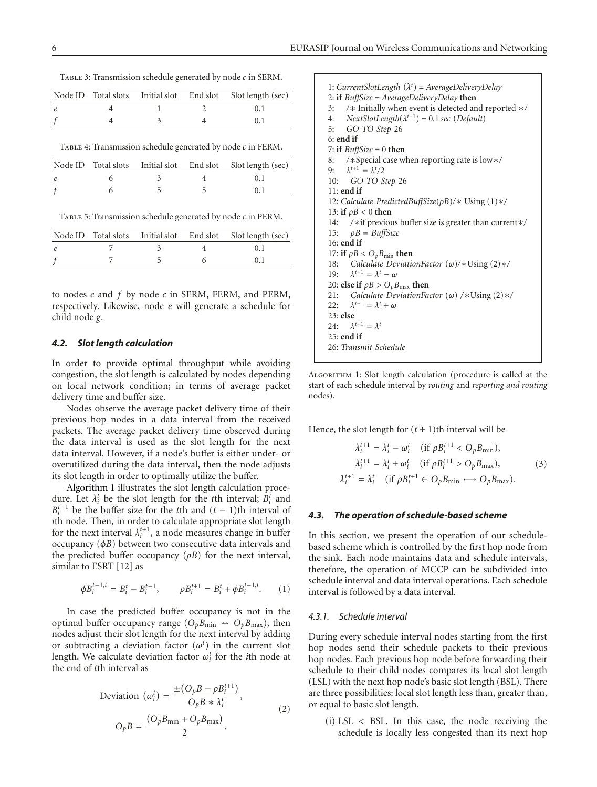|   |  | Node ID Total slots Initial slot End slot Slot length (sec) |
|---|--|-------------------------------------------------------------|
| e |  | 0.1                                                         |
|   |  | () 1                                                        |

Table 3: Transmission schedule generated by node *c* in SERM.

Table 4: Transmission schedule generated by node *c* in FERM.

|  |  | Node ID Total slots Initial slot End slot Slot length (sec) |
|--|--|-------------------------------------------------------------|
|  |  | 0.1                                                         |
|  |  | 0.1                                                         |

Table 5: Transmission schedule generated by node *c* in PERM.

|  |  | Node ID Total slots Initial slot End slot Slot length (sec) |
|--|--|-------------------------------------------------------------|
|  |  | $(1)$ .                                                     |
|  |  | () 1                                                        |

to nodes *e* and *f* by node *c* in SERM, FERM, and PERM, respectively. Likewise, node *e* will generate a schedule for child node *g*.

#### *4.2. Slot length calculation*

In order to provide optimal throughput while avoiding congestion, the slot length is calculated by nodes depending on local network condition; in terms of average packet delivery time and buffer size.

Nodes observe the average packet delivery time of their previous hop nodes in a data interval from the received packets. The average packet delivery time observed during the data interval is used as the slot length for the next data interval. However, if a node's buffer is either under- or overutilized during the data interval, then the node adjusts its slot length in order to optimally utilize the buffer.

Algorithm 1 illustrates the slot length calculation procedure. Let  $\lambda_i^t$  be the slot length for the *t*th interval;  $\overline{B}_i^t$  and  $B_i^{t-1}$  be the buffer size for the *t*th and  $(t - 1)$ th interval of *i*th node. Then, in order to calculate appropriate slot length for the next interval  $\lambda_i^{t+1}$ , a node measures change in buffer occupancy (*φB*) between two consecutive data intervals and the predicted buffer occupancy (*ρB*) for the next interval, similar to ESRT [12] as

$$
\phi B_i^{t-1,t} = B_i^t - B_i^{t-1}, \qquad \rho B_i^{t+1} = B_i^t + \phi B_i^{t-1,t}.
$$
 (1)

In case the predicted buffer occupancy is not in the optimal buffer occupancy range ( $O_pB_{\text{min}} \leftrightarrow O_pB_{\text{max}}$ ), then nodes adjust their slot length for the next interval by adding or subtracting a deviation factor  $(\omega^t)$  in the current slot length. We calculate deviation factor  $\omega_i^t$  for the *i*th node at the end of *t*th interval as

Deviation 
$$
(\omega_i^t) = \frac{\pm (O_p B - \rho B_i^{t+1})}{O_p B \times \lambda_i^t},
$$

\n
$$
O_p B = \frac{(O_p B_{\min} + O_p B_{\max})}{2}.
$$

\n(2)

| 1: CurrentSlotLength $(\lambda^t)$ = AverageDeliveryDelay               |
|-------------------------------------------------------------------------|
| 2: if $BufferSize = AverageDelay$ then                                  |
| 3: $\frac{1}{2}$ /* Initially when event is detected and reported */    |
| $NextSlotLength(\lambda^{t+1}) = 0.1 sec (Default)$<br>4:               |
| 5: GO TO Step 26                                                        |
| $6:$ end if                                                             |
| 7: if $\text{BuffSize} = 0$ then                                        |
| 8: /*Special case when reporting rate is low*/                          |
| 9: $\lambda^{t+1} = \lambda^{t}/2$                                      |
| 10: GO TO Step 26                                                       |
| $11:$ end if                                                            |
| 12: Calculate PredictedBuffSize( $\rho$ B)/ $\star$ Using (1) $\star$ / |
| 13: if $\rho B < 0$ then                                                |
| 14: /*if previous buffer size is greater than current*/                 |
| 15: $\rho B = BuffSize$                                                 |
| $16$ : end if                                                           |
| 17: if $\rho B < O_p B_{\text{min}}$ then                               |
| 18: Calculate DeviationFactor $(\omega)$ * Using $(2)$ * /              |
| 19: $\lambda^{t+1} = \lambda^t - \omega$                                |
| 20: else if $\rho B > O_p B_{\text{max}}$ then                          |
| 21: Calculate DeviationFactor ( $\omega$ ) /*Using (2)*/                |
| 22: $\lambda^{t+1} = \lambda^t + \omega$                                |
| $23:$ else                                                              |
| 24: $\lambda^{t+1} = \lambda^t$                                         |
| $25:$ end if                                                            |
| 26: Transmit Schedule                                                   |
|                                                                         |

ALGORITHM 1: Slot length calculation (procedure is called at the start of each schedule interval by *routing* and *reporting and routing* nodes).

Hence, the slot length for  $(t + 1)$ th interval will be

$$
\lambda_i^{t+1} = \lambda_i^t - \omega_i^t \quad (\text{if } \rho B_i^{t+1} < O_p B_{\min}),
$$
\n
$$
\lambda_i^{t+1} = \lambda_i^t + \omega_i^t \quad (\text{if } \rho B_i^{t+1} > O_p B_{\max}),
$$
\n
$$
\lambda_i^{t+1} = \lambda_i^t \quad (\text{if } \rho B_i^{t+1} \in O_p B_{\min} \longrightarrow O_p B_{\max}).
$$
\n(3)

#### *4.3. The operation of schedule-based scheme*

In this section, we present the operation of our schedulebased scheme which is controlled by the first hop node from the sink. Each node maintains data and schedule intervals, therefore, the operation of MCCP can be subdivided into schedule interval and data interval operations. Each schedule interval is followed by a data interval.

# *4.3.1. Schedule interval*

During every schedule interval nodes starting from the first hop nodes send their schedule packets to their previous hop nodes. Each previous hop node before forwarding their schedule to their child nodes compares its local slot length (LSL) with the next hop node's basic slot length (BSL). There are three possibilities: local slot length less than, greater than, or equal to basic slot length.

(i) LSL *<* BSL. In this case, the node receiving the schedule is locally less congested than its next hop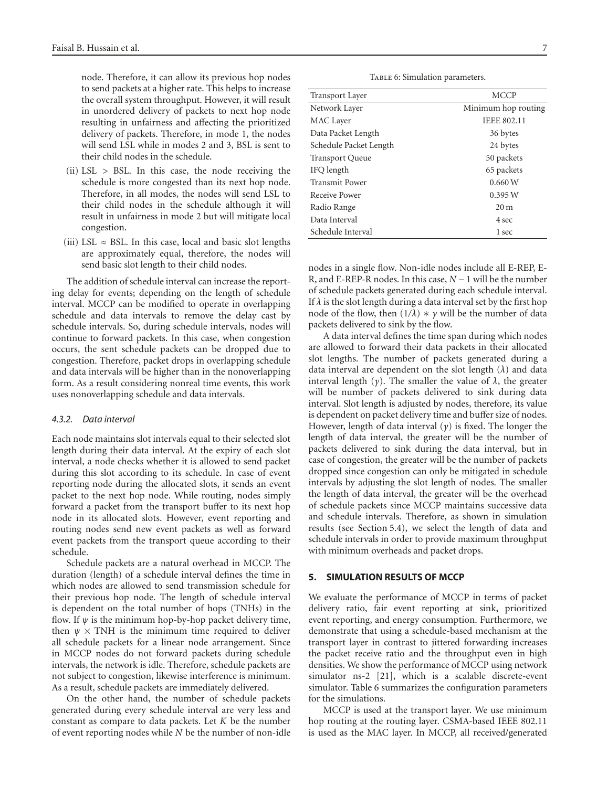node. Therefore, it can allow its previous hop nodes to send packets at a higher rate. This helps to increase the overall system throughput. However, it will result in unordered delivery of packets to next hop node resulting in unfairness and affecting the prioritized delivery of packets. Therefore, in mode 1, the nodes will send LSL while in modes 2 and 3, BSL is sent to their child nodes in the schedule.

- (ii) LSL *>* BSL. In this case, the node receiving the schedule is more congested than its next hop node. Therefore, in all modes, the nodes will send LSL to their child nodes in the schedule although it will result in unfairness in mode 2 but will mitigate local congestion.
- (iii) LSL  $\approx$  BSL. In this case, local and basic slot lengths are approximately equal, therefore, the nodes will send basic slot length to their child nodes.

The addition of schedule interval can increase the reporting delay for events; depending on the length of schedule interval. MCCP can be modified to operate in overlapping schedule and data intervals to remove the delay cast by schedule intervals. So, during schedule intervals, nodes will continue to forward packets. In this case, when congestion occurs, the sent schedule packets can be dropped due to congestion. Therefore, packet drops in overlapping schedule and data intervals will be higher than in the nonoverlapping form. As a result considering nonreal time events, this work uses nonoverlapping schedule and data intervals.

#### *4.3.2. Data interval*

Each node maintains slot intervals equal to their selected slot length during their data interval. At the expiry of each slot interval, a node checks whether it is allowed to send packet during this slot according to its schedule. In case of event reporting node during the allocated slots, it sends an event packet to the next hop node. While routing, nodes simply forward a packet from the transport buffer to its next hop node in its allocated slots. However, event reporting and routing nodes send new event packets as well as forward event packets from the transport queue according to their schedule.

Schedule packets are a natural overhead in MCCP. The duration (length) of a schedule interval defines the time in which nodes are allowed to send transmission schedule for their previous hop node. The length of schedule interval is dependent on the total number of hops (TNHs) in the flow. If  $\psi$  is the minimum hop-by-hop packet delivery time, then  $\psi \times$  TNH is the minimum time required to deliver all schedule packets for a linear node arrangement. Since in MCCP nodes do not forward packets during schedule intervals, the network is idle. Therefore, schedule packets are not subject to congestion, likewise interference is minimum. As a result, schedule packets are immediately delivered.

On the other hand, the number of schedule packets generated during every schedule interval are very less and constant as compare to data packets. Let *K* be the number of event reporting nodes while *N* be the number of non-idle

TABLE 6: Simulation parameters.

| <b>Transport Layer</b> | <b>MCCP</b>         |
|------------------------|---------------------|
| Network Layer          | Minimum hop routing |
| MAC Layer              | <b>IEEE 802.11</b>  |
| Data Packet Length     | 36 bytes            |
| Schedule Packet Length | 24 bytes            |
| <b>Transport Queue</b> | 50 packets          |
| IFQ length             | 65 packets          |
| <b>Transmit Power</b>  | 0.660 W             |
| Receive Power          | 0.395 W             |
| Radio Range            | 20 <sub>m</sub>     |
| Data Interval          | 4 sec               |
| Schedule Interval      | 1 sec               |

nodes in a single flow. Non-idle nodes include all E-REP, E-R, and E-REP-R nodes. In this case, *N* −1 will be the number of schedule packets generated during each schedule interval. If  $\lambda$  is the slot length during a data interval set by the first hop node of the flow, then  $(1/\lambda) * \gamma$  will be the number of data packets delivered to sink by the flow.

A data interval defines the time span during which nodes are allowed to forward their data packets in their allocated slot lengths. The number of packets generated during a data interval are dependent on the slot length (*λ*) and data interval length (*γ*). The smaller the value of *λ*, the greater will be number of packets delivered to sink during data interval. Slot length is adjusted by nodes, therefore, its value is dependent on packet delivery time and buffer size of nodes. However, length of data interval (*γ*) is fixed. The longer the length of data interval, the greater will be the number of packets delivered to sink during the data interval, but in case of congestion, the greater will be the number of packets dropped since congestion can only be mitigated in schedule intervals by adjusting the slot length of nodes. The smaller the length of data interval, the greater will be the overhead of schedule packets since MCCP maintains successive data and schedule intervals. Therefore, as shown in simulation results (see Section 5.4), we select the length of data and schedule intervals in order to provide maximum throughput with minimum overheads and packet drops.

#### **5. SIMULATION RESULTS OF MCCP**

We evaluate the performance of MCCP in terms of packet delivery ratio, fair event reporting at sink, prioritized event reporting, and energy consumption. Furthermore, we demonstrate that using a schedule-based mechanism at the transport layer in contrast to jittered forwarding increases the packet receive ratio and the throughput even in high densities. We show the performance of MCCP using network simulator ns-2 [21], which is a scalable discrete-event simulator. Table 6 summarizes the configuration parameters for the simulations.

MCCP is used at the transport layer. We use minimum hop routing at the routing layer. CSMA-based IEEE 802.11 is used as the MAC layer. In MCCP, all received/generated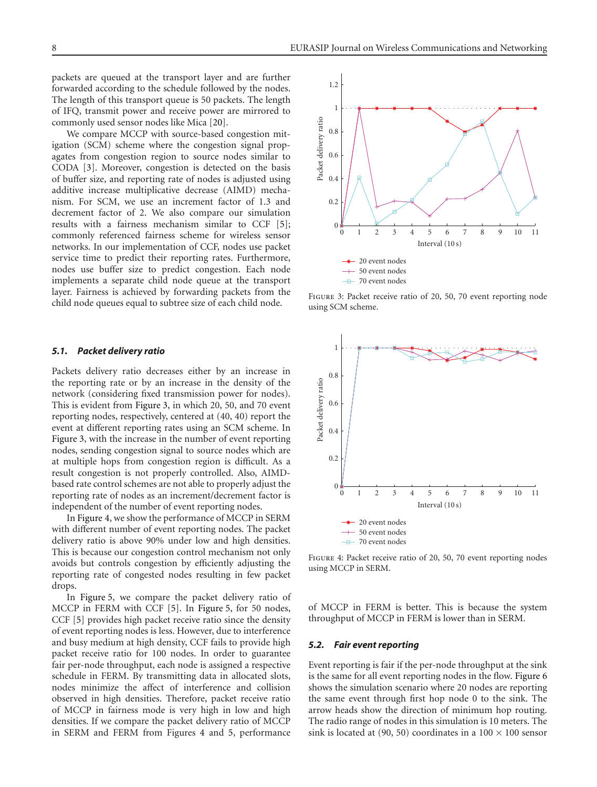packets are queued at the transport layer and are further forwarded according to the schedule followed by the nodes. The length of this transport queue is 50 packets. The length of IFQ, transmit power and receive power are mirrored to commonly used sensor nodes like Mica [20].

We compare MCCP with source-based congestion mitigation (SCM) scheme where the congestion signal propagates from congestion region to source nodes similar to CODA [3]. Moreover, congestion is detected on the basis of buffer size, and reporting rate of nodes is adjusted using additive increase multiplicative decrease (AIMD) mechanism. For SCM, we use an increment factor of 1.3 and decrement factor of 2. We also compare our simulation results with a fairness mechanism similar to CCF [5]; commonly referenced fairness scheme for wireless sensor networks. In our implementation of CCF, nodes use packet service time to predict their reporting rates. Furthermore, nodes use buffer size to predict congestion. Each node implements a separate child node queue at the transport layer. Fairness is achieved by forwarding packets from the child node queues equal to subtree size of each child node.

#### *5.1. Packet delivery ratio*

Packets delivery ratio decreases either by an increase in the reporting rate or by an increase in the density of the network (considering fixed transmission power for nodes). This is evident from Figure 3, in which 20, 50, and 70 event reporting nodes, respectively, centered at (40, 40) report the event at different reporting rates using an SCM scheme. In Figure 3, with the increase in the number of event reporting nodes, sending congestion signal to source nodes which are at multiple hops from congestion region is difficult. As a result congestion is not properly controlled. Also, AIMDbased rate control schemes are not able to properly adjust the reporting rate of nodes as an increment/decrement factor is independent of the number of event reporting nodes.

In Figure 4, we show the performance of MCCP in SERM with different number of event reporting nodes. The packet delivery ratio is above 90% under low and high densities. This is because our congestion control mechanism not only avoids but controls congestion by efficiently adjusting the reporting rate of congested nodes resulting in few packet drops.

In Figure 5, we compare the packet delivery ratio of MCCP in FERM with CCF [5]. In Figure 5, for 50 nodes, CCF [5] provides high packet receive ratio since the density of event reporting nodes is less. However, due to interference and busy medium at high density, CCF fails to provide high packet receive ratio for 100 nodes. In order to guarantee fair per-node throughput, each node is assigned a respective schedule in FERM. By transmitting data in allocated slots, nodes minimize the affect of interference and collision observed in high densities. Therefore, packet receive ratio of MCCP in fairness mode is very high in low and high densities. If we compare the packet delivery ratio of MCCP in SERM and FERM from Figures 4 and 5, performance



Figure 3: Packet receive ratio of 20, 50, 70 event reporting node using SCM scheme.



Figure 4: Packet receive ratio of 20, 50, 70 event reporting nodes using MCCP in SERM.

of MCCP in FERM is better. This is because the system throughput of MCCP in FERM is lower than in SERM.

#### *5.2. Fair event reporting*

Event reporting is fair if the per-node throughput at the sink is the same for all event reporting nodes in the flow. Figure 6 shows the simulation scenario where 20 nodes are reporting the same event through first hop node 0 to the sink. The arrow heads show the direction of minimum hop routing. The radio range of nodes in this simulation is 10 meters. The sink is located at (90, 50) coordinates in a  $100 \times 100$  sensor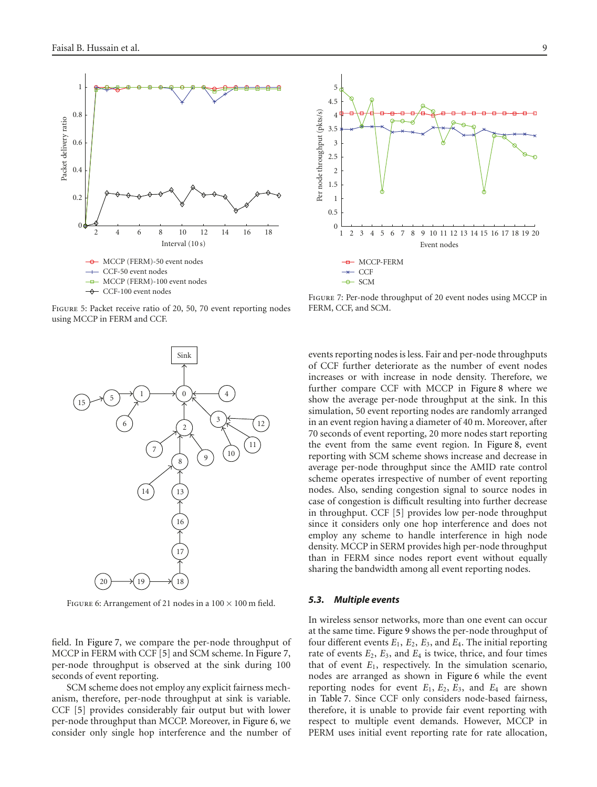

Figure 5: Packet receive ratio of 20, 50, 70 event reporting nodes using MCCP in FERM and CCF.



FIGURE 6: Arrangement of 21 nodes in a  $100 \times 100$  m field.

field. In Figure 7, we compare the per-node throughput of MCCP in FERM with CCF [5] and SCM scheme. In Figure 7, per-node throughput is observed at the sink during 100 seconds of event reporting.

SCM scheme does not employ any explicit fairness mechanism, therefore, per-node throughput at sink is variable. CCF [5] provides considerably fair output but with lower per-node throughput than MCCP. Moreover, in Figure 6, we consider only single hop interference and the number of



Figure 7: Per-node throughput of 20 event nodes using MCCP in FERM, CCF, and SCM.

events reporting nodes is less. Fair and per-node throughputs of CCF further deteriorate as the number of event nodes increases or with increase in node density. Therefore, we further compare CCF with MCCP in Figure 8 where we show the average per-node throughput at the sink. In this simulation, 50 event reporting nodes are randomly arranged in an event region having a diameter of 40 m. Moreover, after 70 seconds of event reporting, 20 more nodes start reporting the event from the same event region. In Figure 8, event reporting with SCM scheme shows increase and decrease in average per-node throughput since the AMID rate control scheme operates irrespective of number of event reporting nodes. Also, sending congestion signal to source nodes in case of congestion is difficult resulting into further decrease in throughput. CCF [5] provides low per-node throughput since it considers only one hop interference and does not employ any scheme to handle interference in high node density. MCCP in SERM provides high per-node throughput than in FERM since nodes report event without equally sharing the bandwidth among all event reporting nodes.

#### *5.3. Multiple events*

In wireless sensor networks, more than one event can occur at the same time. Figure 9 shows the per-node throughput of four different events  $E_1$ ,  $E_2$ ,  $E_3$ , and  $E_4$ . The initial reporting rate of events  $E_2$ ,  $E_3$ , and  $E_4$  is twice, thrice, and four times that of event *E*1, respectively. In the simulation scenario, nodes are arranged as shown in Figure 6 while the event reporting nodes for event  $E_1$ ,  $E_2$ ,  $E_3$ , and  $E_4$  are shown in Table 7. Since CCF only considers node-based fairness, therefore, it is unable to provide fair event reporting with respect to multiple event demands. However, MCCP in PERM uses initial event reporting rate for rate allocation,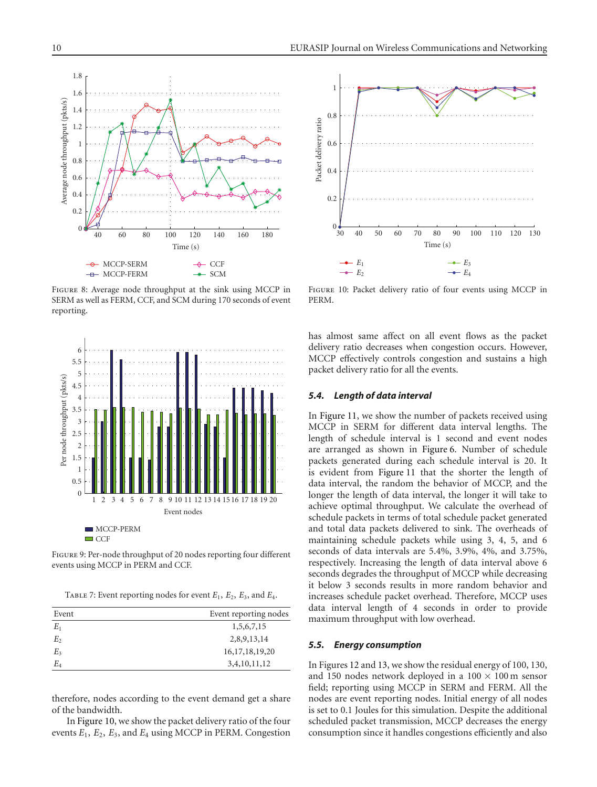

Figure 8: Average node throughput at the sink using MCCP in SERM as well as FERM, CCF, and SCM during 170 seconds of event reporting.



Figure 9: Per-node throughput of 20 nodes reporting four different events using MCCP in PERM and CCF.

Table 7: Event reporting nodes for event *E*1, *E*2, *E*3, and *E*4.

| Event          | Event reporting nodes |
|----------------|-----------------------|
| E۱             | 1,5,6,7,15            |
| E <sub>2</sub> | 2,8,9,13,14           |
| $E_3$          | 16, 17, 18, 19, 20    |
| $E_4$          | 3,4,10,11,12          |

therefore, nodes according to the event demand get a share of the bandwidth.

In Figure 10, we show the packet delivery ratio of the four events *E*1, *E*2, *E*3, and *E*<sup>4</sup> using MCCP in PERM. Congestion



FIGURE 10: Packet delivery ratio of four events using MCCP in PERM.

has almost same affect on all event flows as the packet delivery ratio decreases when congestion occurs. However, MCCP effectively controls congestion and sustains a high packet delivery ratio for all the events.

#### *5.4. Length of data interval*

In Figure 11, we show the number of packets received using MCCP in SERM for different data interval lengths. The length of schedule interval is 1 second and event nodes are arranged as shown in Figure 6. Number of schedule packets generated during each schedule interval is 20. It is evident from Figure 11 that the shorter the length of data interval, the random the behavior of MCCP, and the longer the length of data interval, the longer it will take to achieve optimal throughput. We calculate the overhead of schedule packets in terms of total schedule packet generated and total data packets delivered to sink. The overheads of maintaining schedule packets while using 3, 4, 5, and 6 seconds of data intervals are 5.4%, 3.9%, 4%, and 3.75%, respectively. Increasing the length of data interval above 6 seconds degrades the throughput of MCCP while decreasing it below 3 seconds results in more random behavior and increases schedule packet overhead. Therefore, MCCP uses data interval length of 4 seconds in order to provide maximum throughput with low overhead.

## *5.5. Energy consumption*

In Figures 12 and 13, we show the residual energy of 100, 130, and 150 nodes network deployed in a  $100 \times 100$  m sensor field; reporting using MCCP in SERM and FERM. All the nodes are event reporting nodes. Initial energy of all nodes is set to 0.1 Joules for this simulation. Despite the additional scheduled packet transmission, MCCP decreases the energy consumption since it handles congestions efficiently and also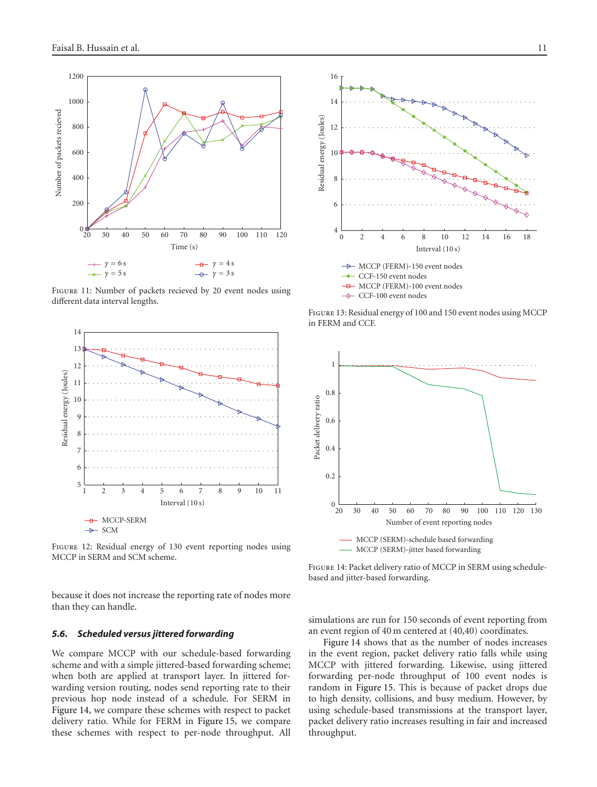

FIGURE 11: Number of packets recieved by 20 event nodes using different data interval lengths.



FIGURE 12: Residual energy of 130 event reporting nodes using MCCP in SERM and SCM scheme.

because it does not increase the reporting rate of nodes more than they can handle.

#### *5.6. Scheduled versus jittered forwarding*

We compare MCCP with our schedule-based forwarding scheme and with a simple jittered-based forwarding scheme; when both are applied at transport layer. In jittered forwarding version routing, nodes send reporting rate to their previous hop node instead of a schedule. For SERM in Figure 14, we compare these schemes with respect to packet delivery ratio. While for FERM in Figure 15, we compare these schemes with respect to per-node throughput. All



Figure 13: Residual energy of 100 and 150 event nodes using MCCP in FERM and CCF.



Figure 14: Packet delivery ratio of MCCP in SERM using schedulebased and jitter-based forwarding.

simulations are run for 150 seconds of event reporting from an event region of 40 m centered at (40,40) coordinates.

Figure 14 shows that as the number of nodes increases in the event region, packet delivery ratio falls while using MCCP with jittered forwarding. Likewise, using jittered forwarding per-node throughput of 100 event nodes is random in Figure 15. This is because of packet drops due to high density, collisions, and busy medium. However, by using schedule-based transmissions at the transport layer, packet delivery ratio increases resulting in fair and increased throughput.